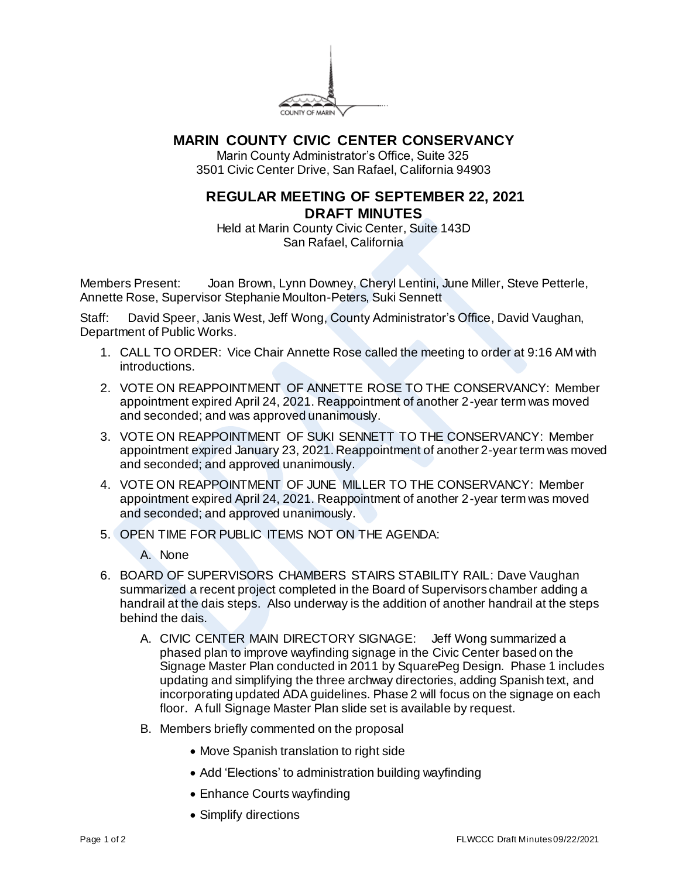

## **MARIN COUNTY CIVIC CENTER CONSERVANCY**

Marin County Administrator's Office, Suite 325 3501 Civic Center Drive, San Rafael, California 94903

## **REGULAR MEETING OF SEPTEMBER 22, 2021 DRAFT MINUTES**

Held at Marin County Civic Center, Suite 143D San Rafael, California

Members Present: Joan Brown, Lynn Downey, Cheryl Lentini, June Miller, Steve Petterle, Annette Rose, Supervisor Stephanie Moulton-Peters, Suki Sennett

Staff: David Speer, Janis West, Jeff Wong, County Administrator's Office, David Vaughan, Department of Public Works.

- 1. CALL TO ORDER: Vice Chair Annette Rose called the meeting to order at 9:16 AM with introductions.
- 2. VOTE ON REAPPOINTMENT OF ANNETTE ROSE TO THE CONSERVANCY: Member appointment expired April 24, 2021. Reappointment of another 2-year term was moved and seconded; and was approved unanimously.
- 3. VOTE ON REAPPOINTMENT OF SUKI SENNETT TO THE CONSERVANCY: Member appointment expired January 23, 2021. Reappointment of another 2-year term was moved and seconded; and approved unanimously.
- 4. VOTE ON REAPPOINTMENT OF JUNE MILLER TO THE CONSERVANCY: Member appointment expired April 24, 2021. Reappointment of another 2-year term was moved and seconded; and approved unanimously.
- 5. OPEN TIME FOR PUBLIC ITEMS NOT ON THE AGENDA:

A. None

- 6. BOARD OF SUPERVISORS CHAMBERS STAIRS STABILITY RAIL: Dave Vaughan summarized a recent project completed in the Board of Supervisors chamber adding a handrail at the dais steps. Also underway is the addition of another handrail at the steps behind the dais.
	- A. CIVIC CENTER MAIN DIRECTORY SIGNAGE: Jeff Wong summarized a phased plan to improve wayfinding signage in the Civic Center based on the Signage Master Plan conducted in 2011 by SquarePeg Design. Phase 1 includes updating and simplifying the three archway directories, adding Spanish text, and incorporating updated ADA guidelines. Phase 2 will focus on the signage on each floor. A full Signage Master Plan slide set is available by request.
	- B. Members briefly commented on the proposal
		- Move Spanish translation to right side
		- Add 'Elections' to administration building wayfinding
		- Enhance Courts wayfinding
		- Simplify directions